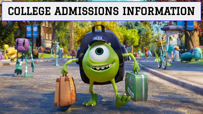## COLLEGE ADMISSIONS INFORMATION

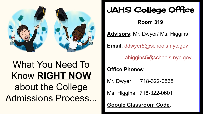

## What You Need To Know **RIGHT NOW** about the College Admissions Process...

## JAHS College Office

**Room 319**

**Advisors**: Mr. Dwyer/ Ms. Higgins

**Email**: [ddwyer5@schools.nyc.gov](mailto:ddwyer5@schools.nyc.gov)

[ahiggins5@schools.nyc.gov](mailto:ahiggins5@schools.nyc.gov)

**Office Phones**:

Mr. Dwyer 718-322-0568

Ms. Higgins 718-322-0601

**Google Classroom Code**: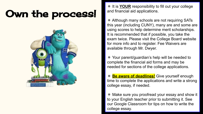## Own the process!



✵ It is **YOUR** responsibility to fill out your college and financial aid applications.

✵ Although many schools are not requiring SATs this year (including CUNY), many are and some are using scores to help determine merit scholarships. It is recommended that if possible, you take the exam twice. Please visit the College Board website for more info and to register. Fee Waivers are available through Mr. Dwyer.

✵ Your parent/guardian's help will be needed to complete the financial aid forms and may be needed for sections of the college applications.

✵ **Be aware of deadlines!** Give yourself enough time to complete the applications and write a strong college essay, if needed.

✵ Make sure you proofread your essay and show it to your English teacher prior to submitting it. See our Google Classroom for tips on how to write the college essay.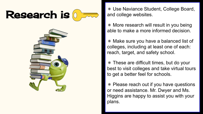



and college websites.

✵ More research will result in you being able to make a more informed decision.

✵ Make sure you have a balanced list of colleges, including at least one of each: reach, target, and safety school.

✵ These are difficult times, but do your best to visit colleges and take virtual tours to get a better feel for schools.

✵ Please reach out if you have questions or need assistance. Mr. Dwyer and Ms. Higgins are happy to assist you with your plans.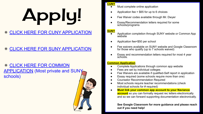# Apply!

#### ✵ [CLICK HERE FOR CUNY APPLICATION](https://www.cuny.edu/admissions/undergraduate/apply/cuny-application/)

#### ✵ [CLICK HERE FOR SUNY APPLICATION](https://www.suny.edu/attend/apply-to-suny/)

#### ✵ [CLICK HERE FOR COMMON](https://www.commonapp.org/) [APPLICATION](https://www.commonapp.org/) (Most private and SUNY schools)



#### **CUNY**

- Must complete online application
- Application fee =  $$65$  for up to 6 choices
- Fee Waiver codes available through Mr. Dwyer
- Essay/Recommendation letters required for some schools/programs

#### **SUNY**

- Application completion through SUNY website or Common App website
- Application fee=\$50 per school
- Fee waivers available on SUNY website and Google Classroom for those who qualify (up to 7 schools waived)
- Essay and recommendation letters required for most 4 year schools.

#### **Common Application**

- Complete Applications through common app website
- Fees are set by individual colleges
- Fee Waivers are available if qualified-Self report in application
- Essay required (some schools require more than one)
- **Counselor Recommendation Required**
- Most schools require teacher recommendations (check individual schools for # required)
- **Must link your common app account to your Naviance account** so you can formally request rec letters electronically and so we can forward supporting documentation electronically.

**See Google Classroom for more guidance and please reach out if you need help!**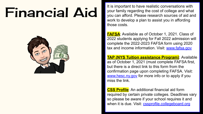

**Financial Aid** It is important to have realistic conversations with<br>It is important to have realistic conversations with<br>you can afford. Please research sources of aid an your family regarding the cost of college and what you can afford. Please research sources of aid and work to develop a plan to assist you in affording those costs.

> **FAFSA**: Available as of October 1, 2021. Class of 2022 students applying for Fall 2022 admission will complete the 2022-2023 FAFSA form using 2020 tax and income information. Visit: [www.fafsa.gov](http://www.fafsa.gov)

> **TAP (NYS Tuition assistance Program)**: Available as of October 1, 2021 (must complete FAFSA first, but there is a direct link to this form from the confirmation page upon completing FAFSA. Visit: [www.hesc.ny.gov](http://www.hesc.ny.gov) for more info or to apply if you miss the link.

> **CSS Profile**: An additional financial aid form required by certain private colleges. Deadlines vary so please be aware if your school requires it and when it is due. Visit: [cssprofile.collegeboard.org](https://cssprofile.collegeboard.org/)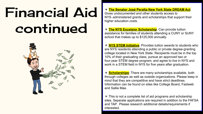## Financial Aid continued



#### ✵ **The Senator José Peralta New York State DREAM Act**:

Gives undocumented and other students access to NYS‐administered grants and scholarships that support their higher education costs.

✵ **The NYS Excelsior Scholarship**: Can provide tuition assistance for families of students attending a CUNY or SUNY school that makes up to \$125,000 annually.

✵ **NYS STEM Initiative**: Provides tuition awards to students who are NYS residents attending a public or private degree-granting college located in New York State. Recipients must be in the top 10% of their graduating class, pursue an approved two or four-year STEM degree program, and agree to live in NYS and work in a STEM field in NYS for five years after graduation.

✵ **Scholarships**: There are many scholarships available, both through colleges as well as outside organizations. Please keep in mind that they are competitive and have strict deadlines. Information can be found on sites like College Board, Fastweb and Sallie Mae.

✵ This is not a complete list of aid programs and scholarship sites. Seperate applications are required in addition to the FAFSA and TAP. Please research additional details/requirements if interested.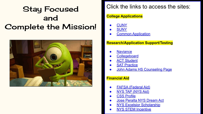### Stay Focused and Complete the Mission!



#### Click the links to access the sites:

#### **College Applications**

- **[CUNY](http://www.cuny.edu)**
- **[SUNY](http://www.suny.edu)**
- **[Common Application](http://www.commonapp.org)**

#### **Research/Application Support/Testing**

- **[Naviance](https://student.naviance.com/johnahs)**
- **[Collegeboard](http://www.collegeboard.org)**
- **[ACT Student](http://www.actstudent.org)**
- **[SAT Practice](https://www.khanacademy.org/sat)**
- **[John Adams HS Counseling Page](http://www.jahscounseling.com)**

#### **Financial Aid**

- [FAFSA \(Federal Aid\)](http://www.fafsa.gov)
- [NYS TAP \(NYS Aid\)](http://www.hesc.ny.gov)
- **[CSS Profile](https://cssprofile.collegeboard.org/)**
- **[Jose Peralta NYS Dream Act](https://www.hesc.ny.gov/dream/)**
- **[NYS Excelsior Scholarship](https://www.hesc.ny.gov/pay-for-college/financial-aid/types-of-financial-aid/nys-grants-scholarships-awards/the-excelsior-scholarship.html)**
- **[NYS STEM Incentive](https://www.hesc.ny.gov/pay-for-college/financial-aid/types-of-financial-aid/nys-grants-scholarships-awards/nys-science-technology-engineering-and-mathematics-stem-incentive-program.html)**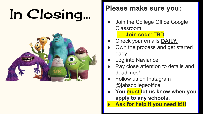# In Closing... **Please make sure you:**



- Join the College Office Google Classroom.
	- **Join code**: TBD
- Check your emails **DAILY.**
- Own the process and get started early.
- **Log into Naviance**
- Pay close attention to details and deadlines!
- Follow us on Instagram @jahscollegeoffice
- **● You must let us know when you apply to any schools.**
- **● Ask for help if you need it!!!**